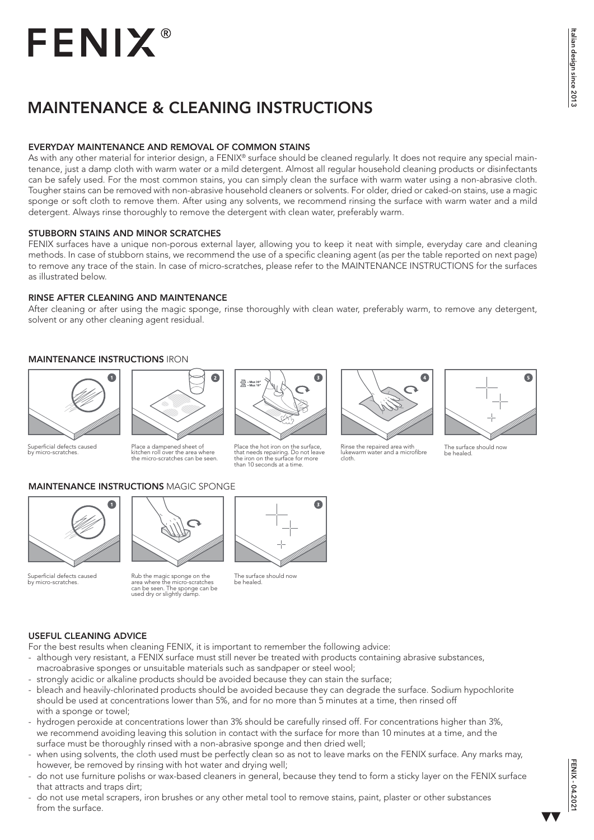# **FENIX®**

### MAINTENANCE & CLEANING INSTRUCTIONS

#### EVERYDAY MAINTENANCE AND REMOVAL OF COMMON STAINS

As with any other material for interior design, a FENIX® surface should be cleaned regularly. It does not require any special maintenance, just a damp cloth with warm water or a mild detergent. Almost all regular household cleaning products or disinfectants can be safely used. For the most common stains, you can simply clean the surface with warm water using a non-abrasive cloth. Tougher stains can be removed with non-abrasive household cleaners or solvents. For older, dried or caked-on stains, use a magic sponge or soft cloth to remove them. After using any solvents, we recommend rinsing the surface with warm water and a mild detergent. Always rinse thoroughly to remove the detergent with clean water, preferably warm.

#### STUBBORN STAINS AND MINOR SCRATCHES

FENIX surfaces have a unique non-porous external layer, allowing you to keep it neat with simple, everyday care and cleaning methods. In case of stubborn stains, we recommend the use of a specific cleaning agent (as per the table reported on next page) to remove any trace of the stain. In case of micro-scratches, please refer to the MAINTENANCE INSTRUCTIONS for the surfaces as illustrated below.

#### RINSE AFTER CLEANING AND MAINTENANCE

After cleaning or after using the magic sponge, rinse thoroughly with clean water, preferably warm, to remove any detergent, solvent or any other cleaning agent residual.

#### MAINTENANCE INSTRUCTIONS IRON



Superficial defects caused by micro-scratches.



Place a dampened sheet of kitchen roll over the area where the micro-scratches can be seen.



Place the hot iron on the surface, that needs repairing. Do not leave the iron on the surface for more than 10 seconds at a time. Rinse the repaired area with lukewarm water and a microfibre cloth.





The surface should now be healed.

#### MAINTENANCE INSTRUCTIONS MAGIC SPONGE



Superficial defects caused perneigracies.<br>micro-scratch



Rub the magic sponge on the area where the micro-scratches can be seen. The sponge can be used dry or slightly damp.



The surface should now be healed.

#### USEFUL CLEANING ADVICE

For the best results when cleaning FENIX, it is important to remember the following advice:

- although very resistant, a FENIX surface must still never be treated with products containing abrasive substances, macroabrasive sponges or unsuitable materials such as sandpaper or steel wool;
- strongly acidic or alkaline products should be avoided because they can stain the surface;
- bleach and heavily-chlorinated products should be avoided because they can degrade the surface. Sodium hypochlorite should be used at concentrations lower than 5%, and for no more than 5 minutes at a time, then rinsed off with a sponge or towel;
- hydrogen peroxide at concentrations lower than 3% should be carefully rinsed off. For concentrations higher than 3%, we recommend avoiding leaving this solution in contact with the surface for more than 10 minutes at a time, and the surface must be thoroughly rinsed with a non-abrasive sponge and then dried well;
- when using solvents, the cloth used must be perfectly clean so as not to leave marks on the FENIX surface. Any marks may, however, be removed by rinsing with hot water and drying well;
- do not use furniture polishs or wax-based cleaners in general, because they tend to form a sticky layer on the FENIX surface that attracts and traps dirt;
- do not use metal scrapers, iron brushes or any other metal tool to remove stains, paint, plaster or other substances from the surface.

Italian design since 2013

Italian design since 2013